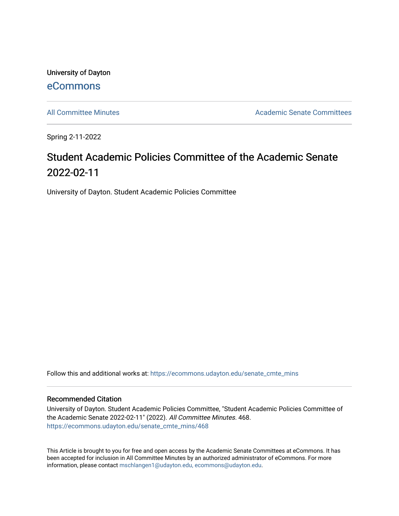University of Dayton [eCommons](https://ecommons.udayton.edu/)

[All Committee Minutes](https://ecommons.udayton.edu/senate_cmte_mins) **Academic Senate Committees** 

Spring 2-11-2022

## Student Academic Policies Committee of the Academic Senate 2022-02-11

University of Dayton. Student Academic Policies Committee

Follow this and additional works at: [https://ecommons.udayton.edu/senate\\_cmte\\_mins](https://ecommons.udayton.edu/senate_cmte_mins?utm_source=ecommons.udayton.edu%2Fsenate_cmte_mins%2F468&utm_medium=PDF&utm_campaign=PDFCoverPages)

## Recommended Citation

University of Dayton. Student Academic Policies Committee, "Student Academic Policies Committee of the Academic Senate 2022-02-11" (2022). All Committee Minutes. 468. [https://ecommons.udayton.edu/senate\\_cmte\\_mins/468](https://ecommons.udayton.edu/senate_cmte_mins/468?utm_source=ecommons.udayton.edu%2Fsenate_cmte_mins%2F468&utm_medium=PDF&utm_campaign=PDFCoverPages)

This Article is brought to you for free and open access by the Academic Senate Committees at eCommons. It has been accepted for inclusion in All Committee Minutes by an authorized administrator of eCommons. For more information, please contact [mschlangen1@udayton.edu, ecommons@udayton.edu](mailto:mschlangen1@udayton.edu,%20ecommons@udayton.edu).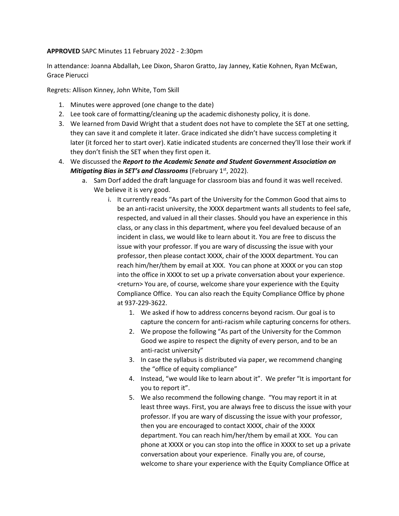## **APPROVED** SAPC Minutes 11 February 2022 - 2:30pm

In attendance: Joanna Abdallah, Lee Dixon, Sharon Gratto, Jay Janney, Katie Kohnen, Ryan McEwan, Grace Pierucci

Regrets: Allison Kinney, John White, Tom Skill

- 1. Minutes were approved (one change to the date)
- 2. Lee took care of formatting/cleaning up the academic dishonesty policy, it is done.
- 3. We learned from David Wright that a student does not have to complete the SET at one setting, they can save it and complete it later. Grace indicated she didn't have success completing it later (it forced her to start over). Katie indicated students are concerned they'll lose their work if they don't finish the SET when they first open it.
- 4. We discussed the *Report to the Academic Senate and Student Government Association on Mitigating Bias in SET's and Classrooms* (February 1<sup>st</sup>, 2022).
	- a. Sam Dorf added the draft language for classroom bias and found it was well received. We believe it is very good.
		- i. It currently reads "As part of the University for the Common Good that aims to be an anti-racist university, the XXXX department wants all students to feel safe, respected, and valued in all their classes. Should you have an experience in this class, or any class in this department, where you feel devalued because of an incident in class, we would like to learn about it. You are free to discuss the issue with your professor. If you are wary of discussing the issue with your professor, then please contact XXXX, chair of the XXXX department. You can reach him/her/them by email at XXX. You can phone at XXXX or you can stop into the office in XXXX to set up a private conversation about your experience. <return> You are, of course, welcome share your experience with the Equity Compliance Office. You can also reach the Equity Compliance Office by phone at 937-229-3622.
			- 1. We asked if how to address concerns beyond racism. Our goal is to capture the concern for anti-racism while capturing concerns for others.
			- 2. We propose the following "As part of the University for the Common Good we aspire to respect the dignity of every person, and to be an anti-racist university"
			- 3. In case the syllabus is distributed via paper, we recommend changing the "office of equity compliance"
			- 4. Instead, "we would like to learn about it". We prefer "It is important for you to report it".
			- 5. We also recommend the following change. "You may report it in at least three ways. First, you are always free to discuss the issue with your professor. If you are wary of discussing the issue with your professor, then you are encouraged to contact XXXX, chair of the XXXX department. You can reach him/her/them by email at XXX. You can phone at XXXX or you can stop into the office in XXXX to set up a private conversation about your experience. Finally you are, of course, welcome to share your experience with the Equity Compliance Office at